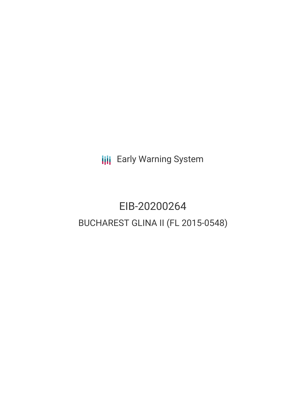**III** Early Warning System

# EIB-20200264 BUCHAREST GLINA II (FL 2015-0548)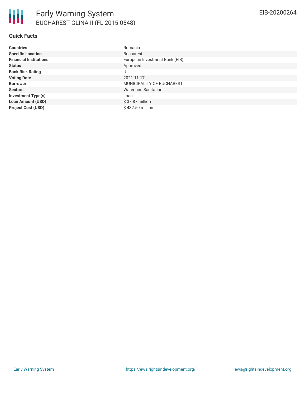| <b>Countries</b>              | Romania                        |
|-------------------------------|--------------------------------|
| <b>Specific Location</b>      | <b>Bucharest</b>               |
| <b>Financial Institutions</b> | European Investment Bank (EIB) |
| <b>Status</b>                 | Approved                       |
| <b>Bank Risk Rating</b>       | U                              |
| <b>Voting Date</b>            | 2021-11-17                     |
| <b>Borrower</b>               | MUNICIPALITY OF BUCHAREST      |
| <b>Sectors</b>                | Water and Sanitation           |
| <b>Investment Type(s)</b>     | Loan                           |
| <b>Loan Amount (USD)</b>      | $$37.87$ million               |
| <b>Project Cost (USD)</b>     | \$432.50 million               |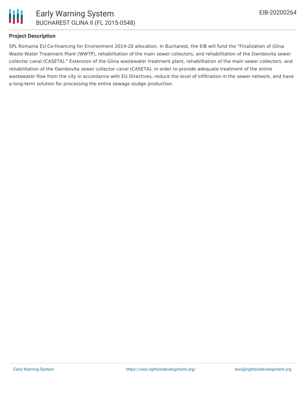

### **Project Description**

SPL Romania EU Co-financing for Environment 2014-20 allocation. In Bucharest, the EIB will fund the "Finalization of Glina Waste Water Treatment Plant (WWTP), rehabilitation of the main sewer collectors, and rehabilitation of the Dambovita sewer collector canal (CASETA)." Extension of the Glina wastewater treatment plant, rehabilitation of the main sewer collectors, and rehabilitation of the Dambovita sewer collector canal (CASETA), in order to provide adequate treatment of the entire wastewater flow from the city in accordance with EU Directives, reduce the level of infiltration in the sewer network, and have a long-term solution for processing the entire sewage sludge production.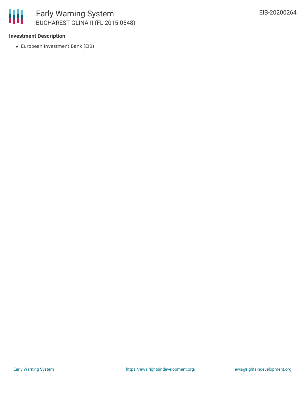

# **Investment Description**

European Investment Bank (EIB)